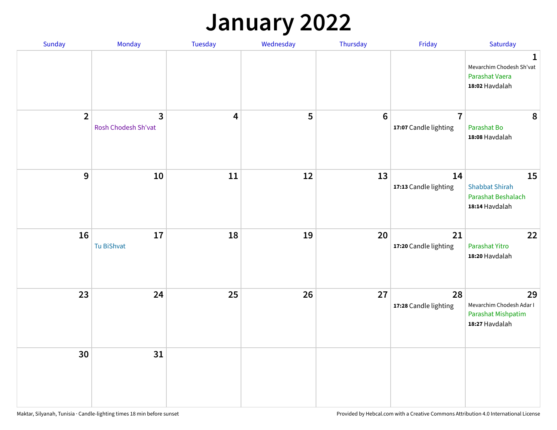## **January 2022**

| Sunday         | Monday                                         | Tuesday                 | Wednesday | Thursday        | Friday                                  | Saturday                                                                    |
|----------------|------------------------------------------------|-------------------------|-----------|-----------------|-----------------------------------------|-----------------------------------------------------------------------------|
|                |                                                |                         |           |                 |                                         | $\mathbf 1$<br>Mevarchim Chodesh Sh'vat<br>Parashat Vaera<br>18:02 Havdalah |
| $\overline{2}$ | $\overline{\mathbf{3}}$<br>Rosh Chodesh Sh'vat | $\overline{\mathbf{4}}$ | 5         | $6\phantom{1}6$ | $\overline{7}$<br>17:07 Candle lighting | 8<br>Parashat Bo<br>18:08 Havdalah                                          |
| 9              | 10                                             | 11                      | 12        | 13              | 14<br>17:13 Candle lighting             | 15<br><b>Shabbat Shirah</b><br>Parashat Beshalach<br>18:14 Havdalah         |
| 16             | 17<br>Tu BiShvat                               | 18                      | 19        | 20              | 21<br>17:20 Candle lighting             | 22<br>Parashat Yitro<br>18:20 Havdalah                                      |
| 23             | 24                                             | 25                      | 26        | 27              | 28<br>17:28 Candle lighting             | 29<br>Mevarchim Chodesh Adar I<br>Parashat Mishpatim<br>18:27 Havdalah      |
| 30             | 31                                             |                         |           |                 |                                         |                                                                             |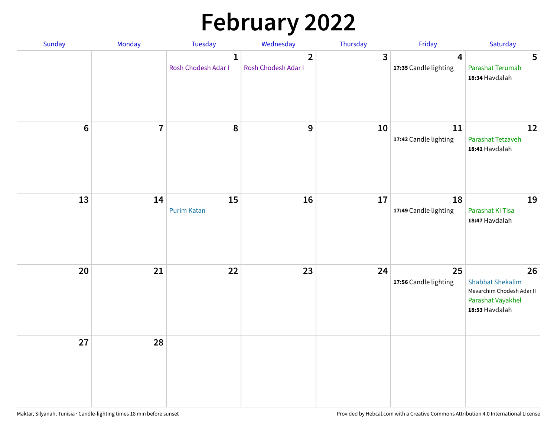# **February 2022**

| Sunday           | Monday         | Tuesday                             | Wednesday                             | Thursday | Friday                                           | Saturday                                                                                          |
|------------------|----------------|-------------------------------------|---------------------------------------|----------|--------------------------------------------------|---------------------------------------------------------------------------------------------------|
|                  |                | $\mathbf{1}$<br>Rosh Chodesh Adar I | $\overline{2}$<br>Rosh Chodesh Adar I | 3        | $\overline{\mathbf{4}}$<br>17:35 Candle lighting | $5\phantom{1}$<br>Parashat Terumah<br>18:34 Havdalah                                              |
| $\boldsymbol{6}$ | $\overline{7}$ | 8                                   | $\boldsymbol{9}$                      | 10       | 11<br>17:42 Candle lighting                      | 12<br>Parashat Tetzaveh<br>18:41 Havdalah                                                         |
| 13               | 14             | 15<br><b>Purim Katan</b>            | 16                                    | 17       | 18<br>17:49 Candle lighting                      | 19<br>Parashat Ki Tisa<br>18:47 Havdalah                                                          |
| 20               | 21             | 22                                  | 23                                    | 24       | 25<br>17:56 Candle lighting                      | 26<br><b>Shabbat Shekalim</b><br>Mevarchim Chodesh Adar II<br>Parashat Vayakhel<br>18:53 Havdalah |
| 27               | 28             |                                     |                                       |          |                                                  |                                                                                                   |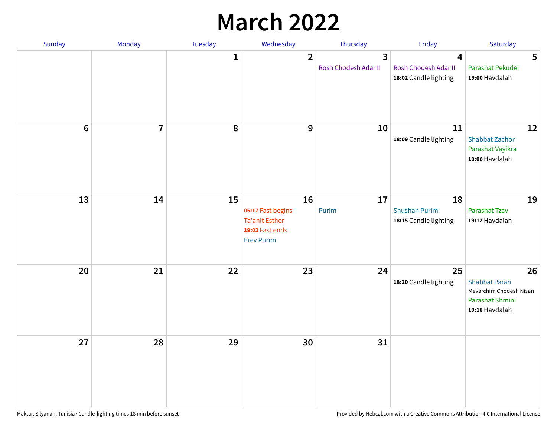## **March 2022**

| Sunday         | Monday         | Tuesday      | Wednesday                                                                         | Thursday                  | Friday                                              | Saturday                                                                                   |
|----------------|----------------|--------------|-----------------------------------------------------------------------------------|---------------------------|-----------------------------------------------------|--------------------------------------------------------------------------------------------|
|                |                | $\mathbf{1}$ | $\overline{2}$                                                                    | 3<br>Rosh Chodesh Adar II | 4<br>Rosh Chodesh Adar II<br>18:02 Candle lighting  | 5<br>Parashat Pekudei<br>19:00 Havdalah                                                    |
| $6\phantom{1}$ | $\overline{7}$ | 8            | $9$                                                                               | 10                        | 11<br>18:09 Candle lighting                         | 12<br><b>Shabbat Zachor</b><br>Parashat Vayikra<br>19:06 Havdalah                          |
| 13             | 14             | 15           | 16<br>05:17 Fast begins<br>Ta'anit Esther<br>19:02 Fast ends<br><b>Erev Purim</b> | 17<br>Purim               | 18<br><b>Shushan Purim</b><br>18:15 Candle lighting | 19<br>Parashat Tzav<br>19:12 Havdalah                                                      |
| 20             | 21             | 22           | 23                                                                                | 24                        | 25<br>18:20 Candle lighting                         | 26<br><b>Shabbat Parah</b><br>Mevarchim Chodesh Nisan<br>Parashat Shmini<br>19:18 Havdalah |
| 27             | 28             | 29           | 30                                                                                | 31                        |                                                     |                                                                                            |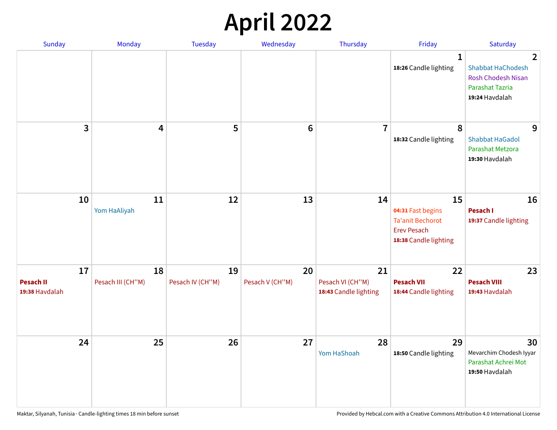## **April 2022**

| Sunday                                   | Monday                  | <b>Tuesday</b>         | Wednesday             | Thursday                                        | Friday                                                                                            | Saturday                                                                                                            |
|------------------------------------------|-------------------------|------------------------|-----------------------|-------------------------------------------------|---------------------------------------------------------------------------------------------------|---------------------------------------------------------------------------------------------------------------------|
|                                          |                         |                        |                       |                                                 | $\mathbf{1}$<br>18:26 Candle lighting                                                             | $\overline{2}$<br><b>Shabbat HaChodesh</b><br><b>Rosh Chodesh Nisan</b><br><b>Parashat Tazria</b><br>19:24 Havdalah |
| 3                                        | $\overline{\mathbf{4}}$ | 5                      | $6\phantom{1}6$       | $\overline{7}$                                  | 8<br>18:32 Candle lighting                                                                        | 9<br><b>Shabbat HaGadol</b><br>Parashat Metzora<br>19:30 Havdalah                                                   |
| 10                                       | 11<br>Yom HaAliyah      | 12                     | 13                    | 14                                              | 15<br>04:31 Fast begins<br><b>Ta'anit Bechorot</b><br><b>Erev Pesach</b><br>18:38 Candle lighting | 16<br>Pesach I<br>19:37 Candle lighting                                                                             |
| 17<br><b>Pesach II</b><br>19:38 Havdalah | 18<br>Pesach III (CH"M) | 19<br>Pesach IV (CH"M) | 20<br>Pesach V (CH"M) | 21<br>Pesach VI (CH"M)<br>18:43 Candle lighting | 22<br><b>Pesach VII</b><br>18:44 Candle lighting                                                  | 23<br><b>Pesach VIII</b><br>19:43 Havdalah                                                                          |
| 24                                       | 25                      | 26                     | 27                    | 28<br>Yom HaShoah                               | 29<br>18:50 Candle lighting                                                                       | 30<br>Mevarchim Chodesh Iyyar<br>Parashat Achrei Mot<br>19:50 Havdalah                                              |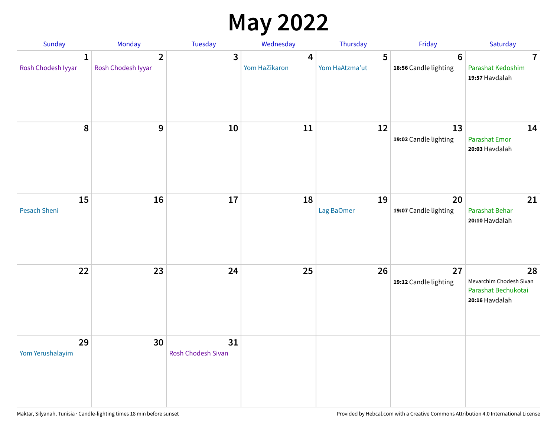## **May 2022**

| Sunday                             | Monday                               | Tuesday                         | Wednesday                         | Thursday            | Friday                                  | Saturday                                                               |
|------------------------------------|--------------------------------------|---------------------------------|-----------------------------------|---------------------|-----------------------------------------|------------------------------------------------------------------------|
| $\mathbf{1}$<br>Rosh Chodesh Iyyar | $\overline{2}$<br>Rosh Chodesh Iyyar | 3                               | $\boldsymbol{4}$<br>Yom HaZikaron | 5<br>Yom HaAtzma'ut | $6\phantom{1}$<br>18:56 Candle lighting | $\overline{7}$<br>Parashat Kedoshim<br>19:57 Havdalah                  |
| 8                                  | 9                                    | 10                              | 11                                | 12                  | 13<br>19:02 Candle lighting             | 14<br><b>Parashat Emor</b><br>20:03 Havdalah                           |
| 15<br>Pesach Sheni                 | 16                                   | 17                              | 18                                | 19<br>Lag BaOmer    | 20<br>19:07 Candle lighting             | 21<br>Parashat Behar<br>20:10 Havdalah                                 |
| 22                                 | 23                                   | 24                              | 25                                | 26                  | 27<br>19:12 Candle lighting             | 28<br>Mevarchim Chodesh Sivan<br>Parashat Bechukotai<br>20:16 Havdalah |
| 29<br>Yom Yerushalayim             | 30                                   | 31<br><b>Rosh Chodesh Sivan</b> |                                   |                     |                                         |                                                                        |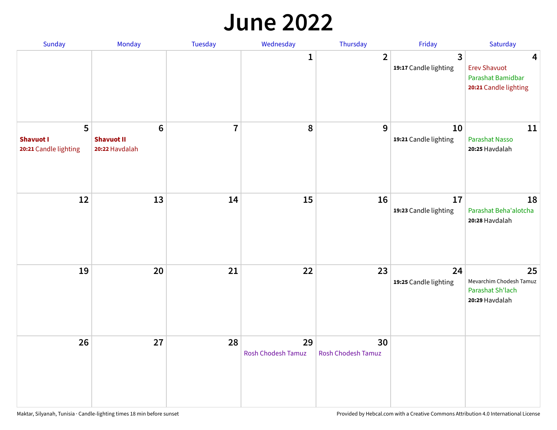#### **June 2022**

| Sunday                                         | Monday                                         | Tuesday        | Wednesday                       | Thursday                 | Friday                      | Saturday                                                                                     |
|------------------------------------------------|------------------------------------------------|----------------|---------------------------------|--------------------------|-----------------------------|----------------------------------------------------------------------------------------------|
|                                                |                                                |                | 1                               | $\overline{2}$           | 3<br>19:17 Candle lighting  | $\overline{\mathbf{4}}$<br><b>Erev Shavuot</b><br>Parashat Bamidbar<br>20:21 Candle lighting |
| 5<br><b>Shavuot I</b><br>20:21 Candle lighting | $\bf 6$<br><b>Shavuot II</b><br>20:22 Havdalah | $\overline{7}$ | 8                               | 9                        | 10<br>19:21 Candle lighting | 11<br>Parashat Nasso<br>20:25 Havdalah                                                       |
| 12                                             | 13                                             | 14             | 15                              | 16                       | 17<br>19:23 Candle lighting | 18<br>Parashat Beha'alotcha<br>20:28 Havdalah                                                |
| 19                                             | 20                                             | 21             | 22                              | 23                       | 24<br>19:25 Candle lighting | 25<br>Mevarchim Chodesh Tamuz<br>Parashat Sh'lach<br>20:29 Havdalah                          |
| 26                                             | 27                                             | 28             | 29<br><b>Rosh Chodesh Tamuz</b> | 30<br>Rosh Chodesh Tamuz |                             |                                                                                              |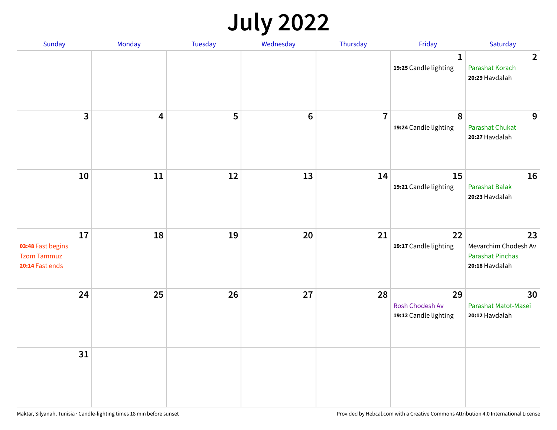## **July 2022**

| Sunday                                                           | Monday | Tuesday | Wednesday | Thursday       | Friday                                         | Saturday                                                                |
|------------------------------------------------------------------|--------|---------|-----------|----------------|------------------------------------------------|-------------------------------------------------------------------------|
|                                                                  |        |         |           |                | $\mathbf{1}$<br>19:25 Candle lighting          | $\overline{2}$<br>Parashat Korach<br>20:29 Havdalah                     |
| $\mathbf{3}$                                                     | 4      | 5       | $\bf 6$   | $\overline{7}$ | 8<br>19:24 Candle lighting                     | 9<br><b>Parashat Chukat</b><br>20:27 Havdalah                           |
| 10                                                               | 11     | 12      | 13        | 14             | 15<br>19:21 Candle lighting                    | 16<br>Parashat Balak<br>20:23 Havdalah                                  |
| 17<br>03:48 Fast begins<br><b>Tzom Tammuz</b><br>20:14 Fast ends | 18     | 19      | 20        | 21             | 22<br>19:17 Candle lighting                    | 23<br>Mevarchim Chodesh Av<br><b>Parashat Pinchas</b><br>20:18 Havdalah |
| 24                                                               | 25     | 26      | 27        | 28             | 29<br>Rosh Chodesh Av<br>19:12 Candle lighting | 30<br>Parashat Matot-Masei<br>20:12 Havdalah                            |
| 31                                                               |        |         |           |                |                                                |                                                                         |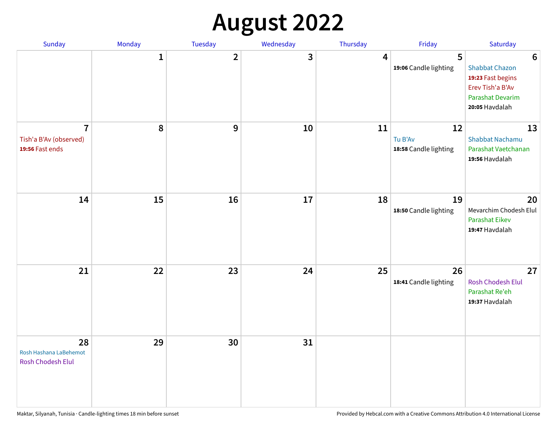## **August 2022**

| Sunday                                                      | Monday       | Tuesday      | Wednesday | Thursday | Friday                                 | Saturday                                                                                                                       |
|-------------------------------------------------------------|--------------|--------------|-----------|----------|----------------------------------------|--------------------------------------------------------------------------------------------------------------------------------|
|                                                             | $\mathbf{1}$ | $\mathbf{2}$ | 3         | 4        | 5<br>19:06 Candle lighting             | $6\phantom{1}6$<br><b>Shabbat Chazon</b><br>19:23 Fast begins<br>Erev Tish'a B'Av<br><b>Parashat Devarim</b><br>20:05 Havdalah |
| $\overline{7}$<br>Tish'a B'Av (observed)<br>19:56 Fast ends | 8            | 9            | 10        | 11       | 12<br>Tu B'Av<br>18:58 Candle lighting | 13<br><b>Shabbat Nachamu</b><br>Parashat Vaetchanan<br>19:56 Havdalah                                                          |
| 14                                                          | 15           | 16           | 17        | 18       | 19<br>18:50 Candle lighting            | 20<br>Mevarchim Chodesh Elul<br><b>Parashat Eikev</b><br>19:47 Havdalah                                                        |
| 21                                                          | 22           | 23           | 24        | 25       | 26<br>18:41 Candle lighting            | 27<br><b>Rosh Chodesh Elul</b><br>Parashat Re'eh<br>19:37 Havdalah                                                             |
| 28<br>Rosh Hashana LaBehemot<br><b>Rosh Chodesh Elul</b>    | 29           | 30           | 31        |          |                                        |                                                                                                                                |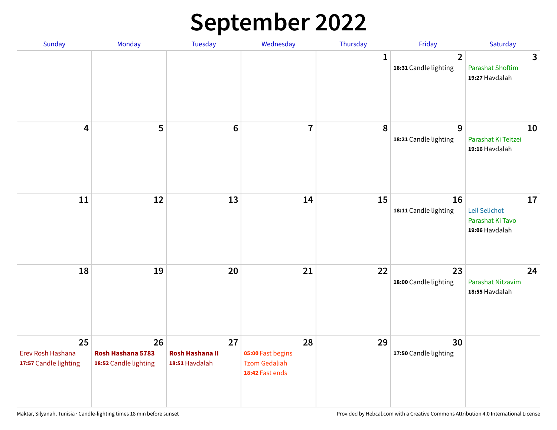## **September 2022**

| Sunday                                           | Monday                                           | <b>Tuesday</b>                                 | Wednesday                                                          | Thursday    | Friday                                  | Saturday                                                  |
|--------------------------------------------------|--------------------------------------------------|------------------------------------------------|--------------------------------------------------------------------|-------------|-----------------------------------------|-----------------------------------------------------------|
|                                                  |                                                  |                                                |                                                                    | $\mathbf 1$ | $\overline{2}$<br>18:31 Candle lighting | 3<br><b>Parashat Shoftim</b><br>19:27 Havdalah            |
| $\overline{\mathbf{4}}$                          | 5                                                | $6\phantom{1}6$                                | $\overline{7}$                                                     | 8           | 9<br>18:21 Candle lighting              | 10<br>Parashat Ki Teitzei<br>19:16 Havdalah               |
| 11                                               | 12                                               | 13                                             | 14                                                                 | 15          | 16<br>18:11 Candle lighting             | 17<br>Leil Selichot<br>Parashat Ki Tavo<br>19:06 Havdalah |
| 18                                               | 19                                               | 20                                             | 21                                                                 | 22          | 23<br>18:00 Candle lighting             | 24<br>Parashat Nitzavim<br>18:55 Havdalah                 |
| 25<br>Erev Rosh Hashana<br>17:57 Candle lighting | 26<br>Rosh Hashana 5783<br>18:52 Candle lighting | 27<br><b>Rosh Hashana II</b><br>18:51 Havdalah | 28<br>05:00 Fast begins<br><b>Tzom Gedaliah</b><br>18:42 Fast ends | 29          | 30<br>17:50 Candle lighting             |                                                           |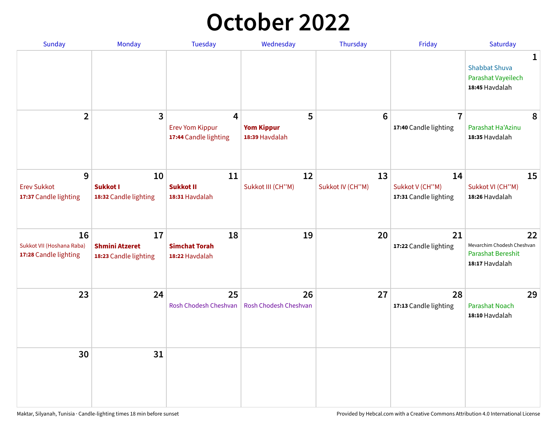## **October 2022**

| <b>Sunday</b>                                            | <b>Monday</b>                                        | <b>Tuesday</b>                                       | Wednesday                                | Thursday               | Friday                                         | Saturday                                                                     |
|----------------------------------------------------------|------------------------------------------------------|------------------------------------------------------|------------------------------------------|------------------------|------------------------------------------------|------------------------------------------------------------------------------|
|                                                          |                                                      |                                                      |                                          |                        |                                                | $\mathbf{1}$<br><b>Shabbat Shuva</b><br>Parashat Vayeilech<br>18:45 Havdalah |
| $\overline{2}$                                           | $\mathbf{3}$                                         | 4<br><b>Erev Yom Kippur</b><br>17:44 Candle lighting | 5<br><b>Yom Kippur</b><br>18:39 Havdalah | $6\phantom{1}6$        | $\overline{7}$<br>17:40 Candle lighting        | 8<br>Parashat Ha'Azinu<br>18:35 Havdalah                                     |
| 9<br><b>Erev Sukkot</b><br>17:37 Candle lighting         | 10<br><b>Sukkot I</b><br>18:32 Candle lighting       | 11<br><b>Sukkot II</b><br>18:31 Havdalah             | 12<br>Sukkot III (CH"M)                  | 13<br>Sukkot IV (CH"M) | 14<br>Sukkot V (CH"M)<br>17:31 Candle lighting | 15<br>Sukkot VI (CH"M)<br>18:26 Havdalah                                     |
| 16<br>Sukkot VII (Hoshana Raba)<br>17:28 Candle lighting | 17<br><b>Shmini Atzeret</b><br>18:23 Candle lighting | 18<br><b>Simchat Torah</b><br>18:22 Havdalah         | 19                                       | 20                     | 21<br>17:22 Candle lighting                    | 22<br>Mevarchim Chodesh Cheshvan<br>Parashat Bereshit<br>18:17 Havdalah      |
| 23                                                       | 24                                                   | 25<br>Rosh Chodesh Cheshvan                          | 26<br>Rosh Chodesh Cheshvan              | 27                     | 28<br>17:13 Candle lighting                    | 29<br><b>Parashat Noach</b><br>18:10 Havdalah                                |
| 30                                                       | 31                                                   |                                                      |                                          |                        |                                                |                                                                              |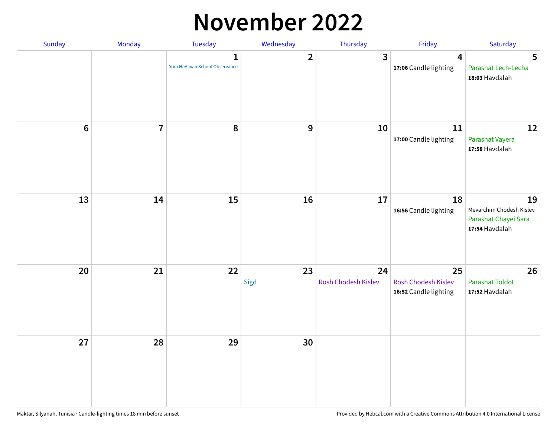### **November 2022**

| Sunday         | Monday         | <b>Tuesday</b>                                 | Wednesday        | Thursday                  | Friday                                             | Saturday                                                                 |
|----------------|----------------|------------------------------------------------|------------------|---------------------------|----------------------------------------------------|--------------------------------------------------------------------------|
|                |                | $\mathbf{1}$<br>Yom HaAliyah School Observance | $\mathbf{2}$     | $\mathbf{3}$              | $\overline{\mathbf{4}}$<br>17:06 Candle lighting   | 5<br>Parashat Lech-Lecha<br>18:03 Havdalah                               |
| $6\phantom{a}$ | $\overline{7}$ | 8                                              | $\boldsymbol{9}$ | 10                        | 11<br>17:00 Candle lighting                        | 12<br>Parashat Vayera<br>17:58 Havdalah                                  |
| 13             | 14             | 15                                             | 16               | 17                        | 18<br>16:56 Candle lighting                        | 19<br>Mevarchim Chodesh Kislev<br>Parashat Chayei Sara<br>17:54 Havdalah |
| 20             | 21             | 22                                             | 23<br>Sigd       | 24<br>Rosh Chodesh Kislev | 25<br>Rosh Chodesh Kislev<br>16:52 Candle lighting | 26<br><b>Parashat Toldot</b><br>17:52 Havdalah                           |
| 27             | 28             | 29                                             | 30               |                           |                                                    |                                                                          |